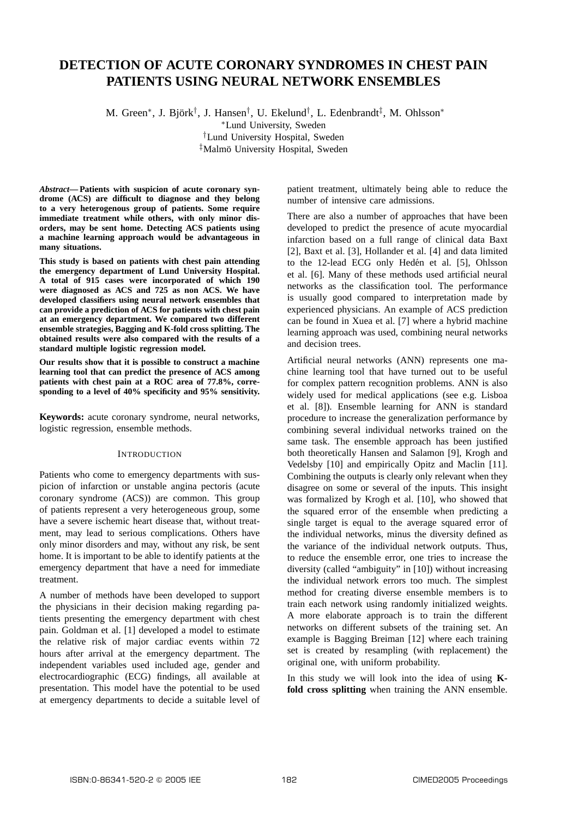# **DETECTION OF ACUTE CORONARY SYNDROMES IN CHEST PAIN PATIENTS USING NEURAL NETWORK ENSEMBLES**

M. Green<sup>\*</sup>, J. Björk<sup>†</sup>, J. Hansen<sup>†</sup>, U. Ekelund<sup>†</sup>, L. Edenbrandt<sup>‡</sup>, M. Ohlsson<sup>\*</sup>

<sup>∗</sup>Lund University, Sweden

†Lund University Hospital, Sweden

<sup>‡</sup>Malmö University Hospital, Sweden

*Abstract***— Patients with suspicion of acute coronary syndrome (ACS) are difficult to diagnose and they belong to a very heterogenous group of patients. Some require immediate treatment while others, with only minor disorders, may be sent home. Detecting ACS patients using a machine learning approach would be advantageous in many situations.**

**This study is based on patients with chest pain attending the emergency department of Lund University Hospital. A total of 915 cases were incorporated of which 190 were diagnosed as ACS and 725 as non ACS. We have developed classifiers using neural network ensembles that can provide a prediction of ACS for patients with chest pain at an emergency department. We compared two different ensemble strategies, Bagging and K-fold cross splitting. The obtained results were also compared with the results of a standard multiple logistic regression model.**

**Our results show that it is possible to construct a machine learning tool that can predict the presence of ACS among patients with chest pain at a ROC area of 77.8%, corresponding to a level of 40% specificity and 95% sensitivity.**

**Keywords:** acute coronary syndrome, neural networks, logistic regression, ensemble methods.

# **INTRODUCTION**

Patients who come to emergency departments with suspicion of infarction or unstable angina pectoris (acute coronary syndrome (ACS)) are common. This group of patients represent a very heterogeneous group, some have a severe ischemic heart disease that, without treatment, may lead to serious complications. Others have only minor disorders and may, without any risk, be sent home. It is important to be able to identify patients at the emergency department that have a need for immediate treatment.

A number of methods have been developed to support the physicians in their decision making regarding patients presenting the emergency department with chest pain. Goldman et al. [1] developed a model to estimate the relative risk of major cardiac events within 72 hours after arrival at the emergency department. The independent variables used included age, gender and electrocardiographic (ECG) findings, all available at presentation. This model have the potential to be used at emergency departments to decide a suitable level of patient treatment, ultimately being able to reduce the number of intensive care admissions.

There are also a number of approaches that have been developed to predict the presence of acute myocardial infarction based on a full range of clinical data Baxt [2], Baxt et al. [3], Hollander et al. [4] and data limited to the 12-lead ECG only Hedén et al. [5], Ohlsson et al. [6]. Many of these methods used artificial neural networks as the classification tool. The performance is usually good compared to interpretation made by experienced physicians. An example of ACS prediction can be found in Xuea et al. [7] where a hybrid machine learning approach was used, combining neural networks and decision trees.

Artificial neural networks (ANN) represents one machine learning tool that have turned out to be useful for complex pattern recognition problems. ANN is also widely used for medical applications (see e.g. Lisboa et al. [8]). Ensemble learning for ANN is standard procedure to increase the generalization performance by combining several individual networks trained on the same task. The ensemble approach has been justified both theoretically Hansen and Salamon [9], Krogh and Vedelsby [10] and empirically Opitz and Maclin [11]. Combining the outputs is clearly only relevant when they disagree on some or several of the inputs. This insight was formalized by Krogh et al. [10], who showed that the squared error of the ensemble when predicting a single target is equal to the average squared error of the individual networks, minus the diversity defined as the variance of the individual network outputs. Thus, to reduce the ensemble error, one tries to increase the diversity (called "ambiguity" in [10]) without increasing the individual network errors too much. The simplest method for creating diverse ensemble members is to train each network using randomly initialized weights. A more elaborate approach is to train the different networks on different subsets of the training set. An example is Bagging Breiman [12] where each training set is created by resampling (with replacement) the original one, with uniform probability.

In this study we will look into the idea of using **Kfold cross splitting** when training the ANN ensemble.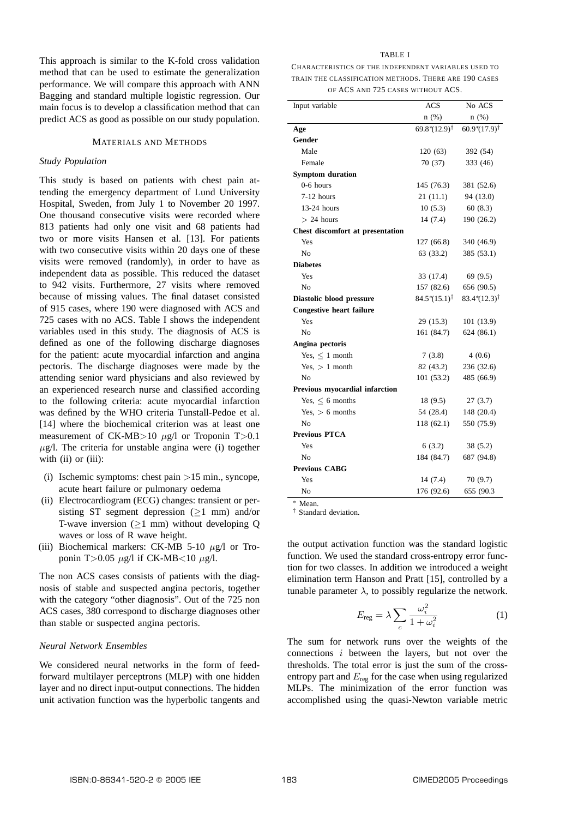This approach is similar to the K-fold cross validation method that can be used to estimate the generalization performance. We will compare this approach with ANN Bagging and standard multiple logistic regression. Our main focus is to develop a classification method that can predict ACS as good as possible on our study population.

## MATERIALS AND METHODS

#### *Study Population*

This study is based on patients with chest pain attending the emergency department of Lund University Hospital, Sweden, from July 1 to November 20 1997. One thousand consecutive visits were recorded where 813 patients had only one visit and 68 patients had two or more visits Hansen et al. [13]. For patients with two consecutive visits within 20 days one of these visits were removed (randomly), in order to have as independent data as possible. This reduced the dataset to 942 visits. Furthermore, 27 visits where removed because of missing values. The final dataset consisted of 915 cases, where 190 were diagnosed with ACS and 725 cases with no ACS. Table I shows the independent variables used in this study. The diagnosis of ACS is defined as one of the following discharge diagnoses for the patient: acute myocardial infarction and angina pectoris. The discharge diagnoses were made by the attending senior ward physicians and also reviewed by an experienced research nurse and classified according to the following criteria: acute myocardial infarction was defined by the WHO criteria Tunstall-Pedoe et al. [14] where the biochemical criterion was at least one measurement of CK-MB $>$ 10  $\mu$ g/l or Troponin T $>$ 0.1  $\mu$ g/l. The criteria for unstable angina were (i) together with (ii) or (iii):

- (i) Ischemic symptoms: chest pain  $>15$  min., syncope, acute heart failure or pulmonary oedema
- (ii) Electrocardiogram (ECG) changes: transient or persisting ST segment depression ( $\geq$ 1 mm) and/or T-wave inversion  $(>1$  mm) without developing Q waves or loss of R wave height.
- (iii) Biochemical markers: CK-MB 5-10  $\mu$ g/l or Troponin T>0.05  $\mu$ g/l if CK-MB<10  $\mu$ g/l.

The non ACS cases consists of patients with the diagnosis of stable and suspected angina pectoris, together with the category "other diagnosis". Out of the 725 non ACS cases, 380 correspond to discharge diagnoses other than stable or suspected angina pectoris.

# *Neural Network Ensembles*

We considered neural networks in the form of feedforward multilayer perceptrons (MLP) with one hidden layer and no direct input-output connections. The hidden unit activation function was the hyperbolic tangents and

## TABLE I

CHARACTERISTICS OF THE INDEPENDENT VARIABLES USED TO TRAIN THE CLASSIFICATION METHODS. THERE ARE 190 CASES OF ACS AND 725 CASES WITHOUT ACS.

| Input variable                   | <b>ACS</b>              | No ACS                  |  |  |  |
|----------------------------------|-------------------------|-------------------------|--|--|--|
|                                  | n(%)                    | n(%)                    |  |  |  |
| Age                              | $69.8*(12.9)^{\dagger}$ | $60.9*(17.9)^{\dagger}$ |  |  |  |
| Gender                           |                         |                         |  |  |  |
| Male                             | 120 (63)                | 392 (54)                |  |  |  |
| Female                           | 70(37)                  | 333 (46)                |  |  |  |
| <b>Symptom duration</b>          |                         |                         |  |  |  |
| $0-6$ hours                      | 145 (76.3)              | 381 (52.6)              |  |  |  |
| $7-12$ hours                     | 21(11.1)                | 94 (13.0)               |  |  |  |
| $13-24$ hours                    | 10(5.3)                 | 60(8.3)                 |  |  |  |
| $> 24$ hours                     | 14(7.4)                 | 190 (26.2)              |  |  |  |
| Chest discomfort at presentation |                         |                         |  |  |  |
| Yes                              | 127 (66.8)              | 340 (46.9)              |  |  |  |
| No                               | 63 (33.2)               | 385 (53.1)              |  |  |  |
| <b>Diabetes</b>                  |                         |                         |  |  |  |
| Yes                              | 33 (17.4)               | 69 (9.5)                |  |  |  |
| No                               | 157 (82.6)              | 656 (90.5)              |  |  |  |
| Diastolic blood pressure         | $84.5*(15.1)^{\dagger}$ | $83.4*(12.3)^{\dagger}$ |  |  |  |
| <b>Congestive heart failure</b>  |                         |                         |  |  |  |
| Yes                              | 29(15.3)                | 101 (13.9)              |  |  |  |
| N <sub>o</sub>                   | 161 (84.7)              | 624(86.1)               |  |  |  |
| Angina pectoris                  |                         |                         |  |  |  |
| Yes, $\leq 1$ month              | 7(3.8)                  | 4(0.6)                  |  |  |  |
| $Yes, > 1$ month                 | 82 (43.2)               | 236 (32.6)              |  |  |  |
| N <sub>0</sub>                   | 101 (53.2)              | 485 (66.9)              |  |  |  |
| Previous myocardial infarction   |                         |                         |  |  |  |
| Yes, $\leq$ 6 months             | 18(9.5)                 | 27(3.7)                 |  |  |  |
| $Yes, > 6$ months                | 54 (28.4)               | 148 (20.4)              |  |  |  |
| N <sub>0</sub>                   | 118 (62.1)              | 550 (75.9)              |  |  |  |
| <b>Previous PTCA</b>             |                         |                         |  |  |  |
| Yes                              | 6(3.2)                  | 38(5.2)                 |  |  |  |
| N <sub>0</sub>                   | 184 (84.7)              | 687 (94.8)              |  |  |  |
| <b>Previous CABG</b>             |                         |                         |  |  |  |
| Yes                              | 14(7.4)                 | 70 (9.7)                |  |  |  |
| No                               | 176 (92.6)              | 655 (90.3               |  |  |  |

<sup>∗</sup> Mean.

† Standard deviation.

the output activation function was the standard logistic function. We used the standard cross-entropy error function for two classes. In addition we introduced a weight elimination term Hanson and Pratt [15], controlled by a tunable parameter  $\lambda$ , to possibly regularize the network.

$$
E_{\text{reg}} = \lambda \sum_{c} \frac{\omega_i^2}{1 + \omega_i^2} \tag{1}
$$

The sum for network runs over the weights of the connections i between the layers, but not over the thresholds. The total error is just the sum of the crossentropy part and  $E_{\text{reg}}$  for the case when using regularized MLPs. The minimization of the error function was accomplished using the quasi-Newton variable metric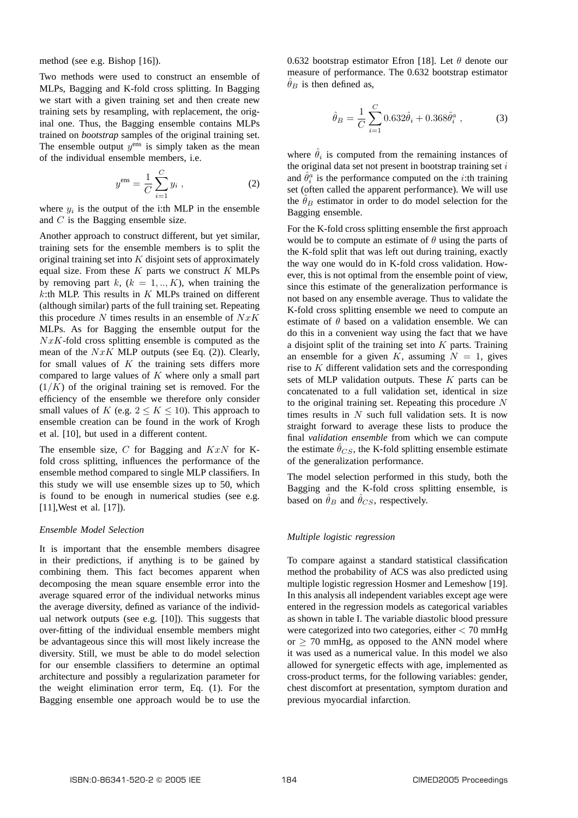method (see e.g. Bishop [16]).

Two methods were used to construct an ensemble of MLPs, Bagging and K-fold cross splitting. In Bagging we start with a given training set and then create new training sets by resampling, with replacement, the original one. Thus, the Bagging ensemble contains MLPs trained on *bootstrap* samples of the original training set. The ensemble output  $y<sup>ens</sup>$  is simply taken as the mean of the individual ensemble members, i.e.

$$
y^{\text{ens}} = \frac{1}{C} \sum_{i=1}^{C} y_i , \qquad (2)
$$

where  $y_i$  is the output of the i:th MLP in the ensemble and C is the Bagging ensemble size.

Another approach to construct different, but yet similar, training sets for the ensemble members is to split the original training set into  $K$  disjoint sets of approximately equal size. From these  $K$  parts we construct  $K$  MLPs by removing part k,  $(k = 1, ..., K)$ , when training the  $k$ :th MLP. This results in  $K$  MLPs trained on different (although similar) parts of the full training set. Repeating this procedure  $N$  times results in an ensemble of  $NxK$ MLPs. As for Bagging the ensemble output for the  $NxK$ -fold cross splitting ensemble is computed as the mean of the  $NxK$  MLP outputs (see Eq. (2)). Clearly, for small values of  $K$  the training sets differs more compared to large values of  $K$  where only a small part  $(1/K)$  of the original training set is removed. For the efficiency of the ensemble we therefore only consider small values of K (e.g.  $2 \leq K \leq 10$ ). This approach to ensemble creation can be found in the work of Krogh et al. [10], but used in a different content.

The ensemble size,  $C$  for Bagging and  $KxN$  for Kfold cross splitting, influences the performance of the ensemble method compared to single MLP classifiers. In this study we will use ensemble sizes up to 50, which is found to be enough in numerical studies (see e.g. [11], West et al. [17]).

# *Ensemble Model Selection*

It is important that the ensemble members disagree in their predictions, if anything is to be gained by combining them. This fact becomes apparent when decomposing the mean square ensemble error into the average squared error of the individual networks minus the average diversity, defined as variance of the individual network outputs (see e.g. [10]). This suggests that over-fitting of the individual ensemble members might be advantageous since this will most likely increase the diversity. Still, we must be able to do model selection for our ensemble classifiers to determine an optimal architecture and possibly a regularization parameter for the weight elimination error term, Eq. (1). For the Bagging ensemble one approach would be to use the

0.632 bootstrap estimator Efron [18]. Let  $\theta$  denote our measure of performance. The 0.632 bootstrap estimator  $\ddot{\theta}_B$  is then defined as,

$$
\hat{\theta}_B = \frac{1}{C} \sum_{i=1}^{C} 0.632 \hat{\theta}_i + 0.368 \hat{\theta}_i^a , \qquad (3)
$$

where  $\hat{\theta}_i$  is computed from the remaining instances of the original data set not present in bootstrap training set  $i$ and  $\hat{\theta}_i^{\alpha}$  is the performance computed on the *i*:th training set (often called the apparent performance). We will use the  $\hat{\theta}_B$  estimator in order to do model selection for the Bagging ensemble.

For the K-fold cross splitting ensemble the first approach would be to compute an estimate of  $\theta$  using the parts of the K-fold split that was left out during training, exactly the way one would do in K-fold cross validation. However, this is not optimal from the ensemble point of view, since this estimate of the generalization performance is not based on any ensemble average. Thus to validate the K-fold cross splitting ensemble we need to compute an estimate of  $\theta$  based on a validation ensemble. We can do this in a convenient way using the fact that we have a disjoint split of the training set into  $K$  parts. Training an ensemble for a given K, assuming  $N = 1$ , gives rise to K different validation sets and the corresponding sets of MLP validation outputs. These  $K$  parts can be concatenated to a full validation set, identical in size to the original training set. Repeating this procedure N times results in  $N$  such full validation sets. It is now straight forward to average these lists to produce the final *validation ensemble* from which we can compute the estimate  $\hat{\theta}_{CS}$ , the K-fold splitting ensemble estimate of the generalization performance.

The model selection performed in this study, both the Bagging and the K-fold cross splitting ensemble, is based on  $\hat{\theta}_B$  and  $\hat{\theta}_{CS}$ , respectively.

# *Multiple logistic regression*

To compare against a standard statistical classification method the probability of ACS was also predicted using multiple logistic regression Hosmer and Lemeshow [19]. In this analysis all independent variables except age were entered in the regression models as categorical variables as shown in table I. The variable diastolic blood pressure were categorized into two categories, either < 70 mmHg or  $\geq$  70 mmHg, as opposed to the ANN model where it was used as a numerical value. In this model we also allowed for synergetic effects with age, implemented as cross-product terms, for the following variables: gender, chest discomfort at presentation, symptom duration and previous myocardial infarction.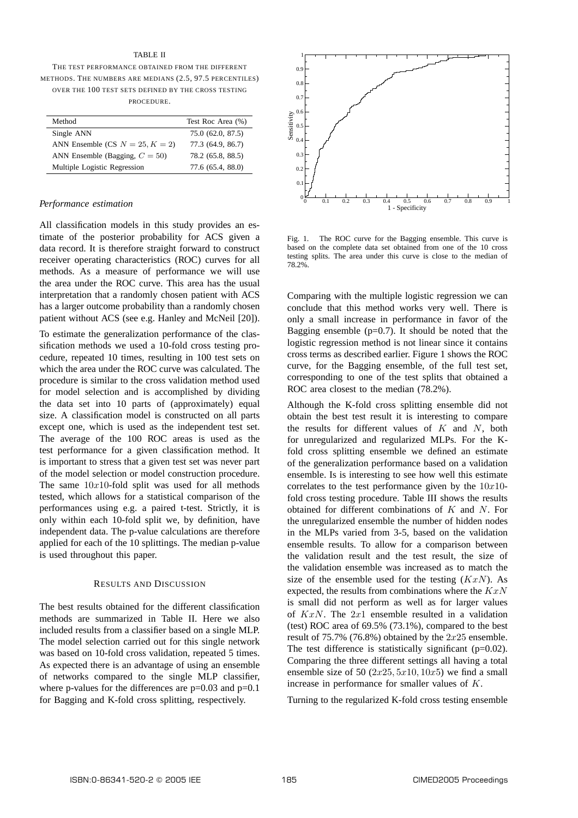## TABLE II

THE TEST PERFORMANCE OBTAINED FROM THE DIFFERENT METHODS. THE NUMBERS ARE MEDIANS (2.5, 97.5 PERCENTILES) OVER THE 100 TEST SETS DEFINED BY THE CROSS TESTING PROCEDURE.

| Method                             | Test Roc Area (%) |
|------------------------------------|-------------------|
| Single ANN                         | 75.0(62.0, 87.5)  |
| ANN Ensemble (CS $N = 25, K = 2$ ) | 77.3 (64.9, 86.7) |
| ANN Ensemble (Bagging, $C = 50$ )  | 78.2 (65.8, 88.5) |
| Multiple Logistic Regression       | 77.6 (65.4, 88.0) |

#### *Performance estimation*

All classification models in this study provides an estimate of the posterior probability for ACS given a data record. It is therefore straight forward to construct receiver operating characteristics (ROC) curves for all methods. As a measure of performance we will use the area under the ROC curve. This area has the usual interpretation that a randomly chosen patient with ACS has a larger outcome probability than a randomly chosen patient without ACS (see e.g. Hanley and McNeil [20]).

To estimate the generalization performance of the classification methods we used a 10-fold cross testing procedure, repeated 10 times, resulting in 100 test sets on which the area under the ROC curve was calculated. The procedure is similar to the cross validation method used for model selection and is accomplished by dividing the data set into 10 parts of (approximately) equal size. A classification model is constructed on all parts except one, which is used as the independent test set. The average of the 100 ROC areas is used as the test performance for a given classification method. It is important to stress that a given test set was never part of the model selection or model construction procedure. The same  $10x10$ -fold split was used for all methods tested, which allows for a statistical comparison of the performances using e.g. a paired t-test. Strictly, it is only within each 10-fold split we, by definition, have independent data. The p-value calculations are therefore applied for each of the 10 splittings. The median p-value is used throughout this paper.

#### RESULTS AND DISCUSSION

The best results obtained for the different classification methods are summarized in Table II. Here we also included results from a classifier based on a single MLP. The model selection carried out for this single network was based on 10-fold cross validation, repeated 5 times. As expected there is an advantage of using an ensemble of networks compared to the single MLP classifier, where p-values for the differences are  $p=0.03$  and  $p=0.1$ for Bagging and K-fold cross splitting, respectively.



Fig. 1. The ROC curve for the Bagging ensemble. This curve is based on the complete data set obtained from one of the 10 cross testing splits. The area under this curve is close to the median of 78.2%.

Comparing with the multiple logistic regression we can conclude that this method works very well. There is only a small increase in performance in favor of the Bagging ensemble  $(p=0.7)$ . It should be noted that the logistic regression method is not linear since it contains cross terms as described earlier. Figure 1 shows the ROC curve, for the Bagging ensemble, of the full test set, corresponding to one of the test splits that obtained a ROC area closest to the median (78.2%).

Although the K-fold cross splitting ensemble did not obtain the best test result it is interesting to compare the results for different values of  $K$  and  $N$ , both for unregularized and regularized MLPs. For the Kfold cross splitting ensemble we defined an estimate of the generalization performance based on a validation ensemble. Is is interesting to see how well this estimate correlates to the test performance given by the  $10x10$ fold cross testing procedure. Table III shows the results obtained for different combinations of K and N. For the unregularized ensemble the number of hidden nodes in the MLPs varied from 3-5, based on the validation ensemble results. To allow for a comparison between the validation result and the test result, the size of the validation ensemble was increased as to match the size of the ensemble used for the testing  $(KxN)$ . As expected, the results from combinations where the  $KxN$ is small did not perform as well as for larger values of  $KxN$ . The  $2x1$  ensemble resulted in a validation (test) ROC area of 69.5% (73.1%), compared to the best result of 75.7% (76.8%) obtained by the  $2x25$  ensemble. The test difference is statistically significant  $(p=0.02)$ . Comparing the three different settings all having a total ensemble size of 50  $(2x25, 5x10, 10x5)$  we find a small increase in performance for smaller values of K.

Turning to the regularized K-fold cross testing ensemble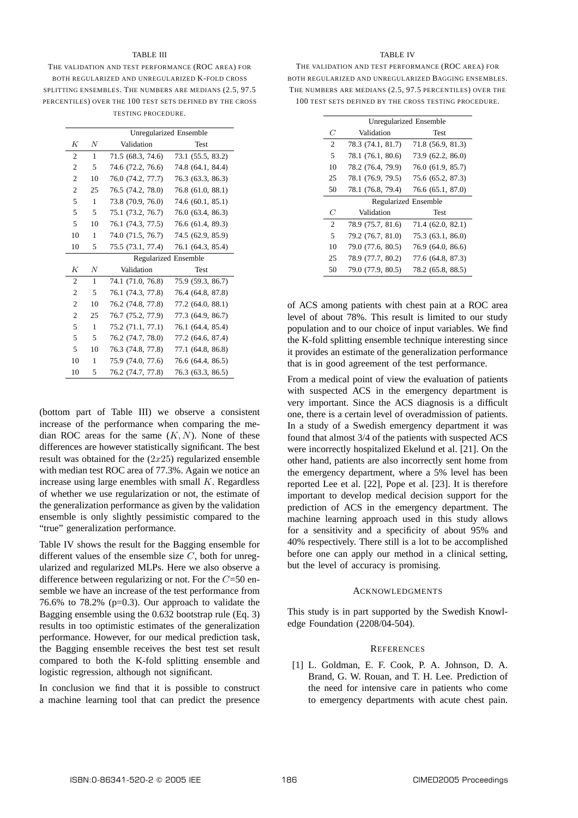## TABLE III

THE VALIDATION AND TEST PERFORMANCE (ROC AREA) FOR BOTH REGULARIZED AND UNREGULARIZED K-FOLD CROSS SPLITTING ENSEMBLES. THE NUMBERS ARE MEDIANS (2.5, 97.5 PERCENTILES) OVER THE 100 TEST SETS DEFINED BY THE CROSS TESTING PROCEDURE.

|                |    | <b>Unregularized Ensemble</b> |                             |  |
|----------------|----|-------------------------------|-----------------------------|--|
| K              | N  | Validation                    | Test                        |  |
| $\overline{c}$ | 1  | 71.5 (68.3, 74.6)             | 73.1 (55.5, 83.2)           |  |
| $\overline{c}$ | 5  | 74.6 (72.2, 76.6)             | 74.8 (64.1, 84.4)           |  |
| $\overline{c}$ | 10 | 76.0 (74.2, 77.7)             | 76.3 (63.3, 86.3)           |  |
| $\overline{c}$ | 25 | 76.5 (74.2, 78.0)             | 76.8 (61.0, 88.1)           |  |
| 5              | 1  | 73.8 (70.9, 76.0)             | 74.6 (60.1, 85.1)           |  |
| 5              | 5  | 75.1 (73.2, 76.7)             | 76.0 (63.4, 86.3)           |  |
| 5              | 10 | 76.1 (74.3, 77.5)             | 76.6 (61.4, 89.3)           |  |
| 10             | 1  | 74.0 (71.5, 76.7)             | 74.5 (62.9, 85.9)           |  |
| 10             | 5  | 75.5 (73.1, 77.4)             | 76.1 (64.3, 85.4)           |  |
|                |    |                               | <b>Regularized Ensemble</b> |  |
| K              | N  | Validation                    | <b>Test</b>                 |  |
| $\overline{c}$ | 1  | 74.1 (71.0, 76.8)             | 75.9 (59.3, 86.7)           |  |
| $\overline{c}$ | 5  | 76.1 (74.3, 77.8)             | 76.4 (64.8, 87.8)           |  |
| $\overline{2}$ | 10 | 76.2 (74.8, 77.8)             | 77.2 (64.0, 88.1)           |  |
| $\overline{c}$ | 25 | 76.7 (75.2, 77.9)             | 77.3 (64.9, 86.7)           |  |
| 5              | 1  | 75.2 (71.1, 77.1)             | 76.1 (64.4, 85.4)           |  |
| 5              | 5  | 76.2 (74.7, 78.0)             | 77.2 (64.6, 87.4)           |  |
| 5              | 10 | 76.3 (74.8, 77.8)             | 77.1 (64.8, 86.8)           |  |
| 10             | 1  | 75.9 (74.0, 77.6)             | 76.6 (64.4, 86.5)           |  |
| 10             | 5  | 76.2 (74.7, 77.8)             | 76.3 (63.3, 86.5)           |  |

(bottom part of Table III) we observe a consistent increase of the performance when comparing the median ROC areas for the same  $(K, N)$ . None of these differences are however statistically significant. The best result was obtained for the  $(2x25)$  regularized ensemble with median test ROC area of 77.3%. Again we notice an increase using large enembles with small  $K$ . Regardless of whether we use regularization or not, the estimate of the generalization performance as given by the validation ensemble is only slightly pessimistic compared to the "true" generalization performance.

Table IV shows the result for the Bagging ensemble for different values of the ensemble size  $C$ , both for unregularized and regularized MLPs. Here we also observe a difference between regularizing or not. For the  $C=50$  ensemble we have an increase of the test performance from 76.6% to 78.2% ( $p=0.3$ ). Our approach to validate the Bagging ensemble using the 0.632 bootstrap rule (Eq. 3) results in too optimistic estimates of the generalization performance. However, for our medical prediction task, the Bagging ensemble receives the best test set result compared to both the K-fold splitting ensemble and logistic regression, although not significant.

In conclusion we find that it is possible to construct a machine learning tool that can predict the presence

#### TABLE IV

THE VALIDATION AND TEST PERFORMANCE (ROC AREA) FOR BOTH REGULARIZED AND UNREGULARIZED BAGGING ENSEMBLES. THE NUMBERS ARE MEDIANS (2.5, 97.5 PERCENTILES) OVER THE 100 TEST SETS DEFINED BY THE CROSS TESTING PROCEDURE.

|                | Unregularized Ensemble      |                   |  |  |
|----------------|-----------------------------|-------------------|--|--|
| C              | Validation                  | Test              |  |  |
| $\overline{c}$ | 78.3 (74.1, 81.7)           | 71.8 (56.9, 81.3) |  |  |
| 5              | 78.1 (76.1, 80.6)           | 73.9 (62.2, 86.0) |  |  |
| 10             | 78.2 (76.4, 79.9)           | 76.0 (61.9, 85.7) |  |  |
| 25             | 78.1 (76.9, 79.5)           | 75.6 (65.2, 87.3) |  |  |
| 50             | 78.1 (76.8, 79.4)           | 76.6 (65.1, 87.0) |  |  |
|                | <b>Regularized Ensemble</b> |                   |  |  |
| C              | Validation                  | <b>Test</b>       |  |  |
| $\mathfrak{D}$ | 78.9 (75.7, 81.6)           | 71.4 (62.0, 82.1) |  |  |
| 5              | 79.2 (76.7, 81.0)           | 75.3 (63.1, 86.0) |  |  |
| 10             | 79.0 (77.6, 80.5)           | 76.9 (64.0, 86.6) |  |  |
| 25             | 78.9 (77.7, 80.2)           | 77.6 (64.8, 87.3) |  |  |
| 50             | 79.0 (77.9, 80.5)           | 78.2 (65.8, 88.5) |  |  |

of ACS among patients with chest pain at a ROC area level of about 78%. This result is limited to our study population and to our choice of input variables. We find the K-fold splitting ensemble technique interesting since it provides an estimate of the generalization performance that is in good agreement of the test performance.

From a medical point of view the evaluation of patients with suspected ACS in the emergency department is very important. Since the ACS diagnosis is a difficult one, there is a certain level of overadmission of patients. In a study of a Swedish emergency department it was found that almost 3/4 of the patients with suspected ACS were incorrectly hospitalized Ekelund et al. [21]. On the other hand, patients are also incorrectly sent home from the emergency department, where a 5% level has been reported Lee et al. [22], Pope et al. [23]. It is therefore important to develop medical decision support for the prediction of ACS in the emergency department. The machine learning approach used in this study allows for a sensitivity and a specificity of about 95% and 40% respectively. There still is a lot to be accomplished before one can apply our method in a clinical setting, but the level of accuracy is promising.

# ACKNOWLEDGMENTS

This study is in part supported by the Swedish Knowledge Foundation (2208/04-504).

#### **REFERENCES**

[1] L. Goldman, E. F. Cook, P. A. Johnson, D. A. Brand, G. W. Rouan, and T. H. Lee. Prediction of the need for intensive care in patients who come to emergency departments with acute chest pain.